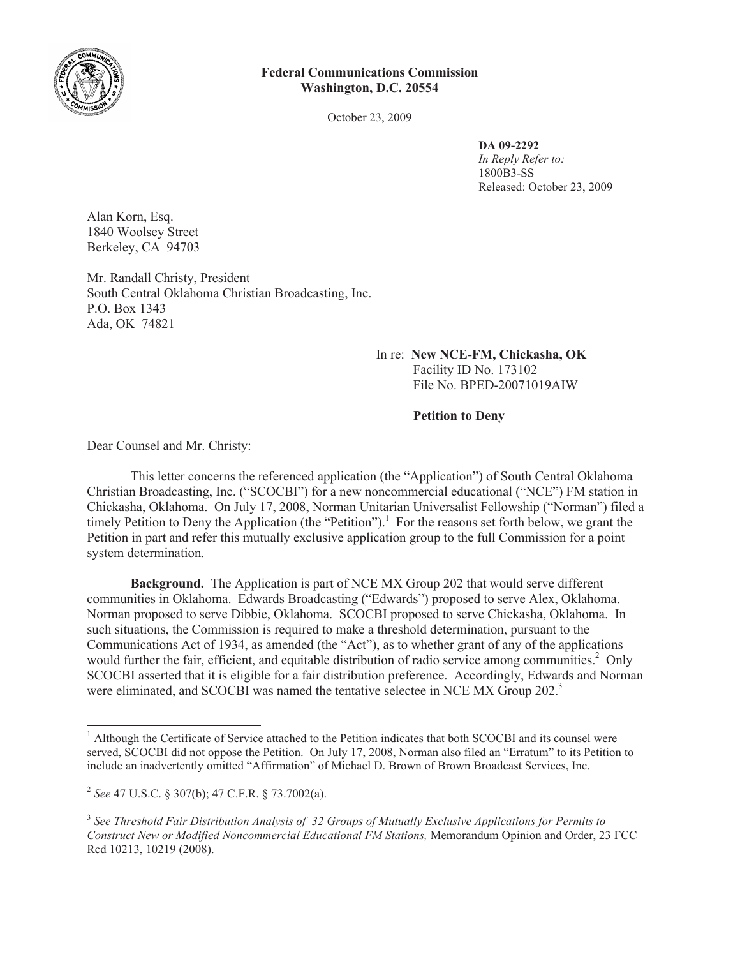

## **Federal Communications Commission Washington, D.C. 20554**

October 23, 2009

**DA 09-2292** *In Reply Refer to:* 1800B3-SS Released: October 23, 2009

Alan Korn, Esq. 1840 Woolsey Street Berkeley, CA 94703

Mr. Randall Christy, President South Central Oklahoma Christian Broadcasting, Inc. P.O. Box 1343 Ada, OK 74821

> In re: **New NCE-FM, Chickasha, OK** Facility ID No. 173102 File No. BPED-20071019AIW

> > **Petition to Deny**

Dear Counsel and Mr. Christy:

This letter concerns the referenced application (the "Application") of South Central Oklahoma Christian Broadcasting, Inc. ("SCOCBI") for a new noncommercial educational ("NCE") FM station in Chickasha, Oklahoma. On July 17, 2008, Norman Unitarian Universalist Fellowship ("Norman") filed a timely Petition to Deny the Application (the "Petition").<sup>1</sup> For the reasons set forth below, we grant the Petition in part and refer this mutually exclusive application group to the full Commission for a point system determination.

**Background.** The Application is part of NCE MX Group 202 that would serve different communities in Oklahoma. Edwards Broadcasting ("Edwards") proposed to serve Alex, Oklahoma. Norman proposed to serve Dibbie, Oklahoma. SCOCBI proposed to serve Chickasha, Oklahoma. In such situations, the Commission is required to make a threshold determination, pursuant to the Communications Act of 1934, as amended (the "Act"), as to whether grant of any of the applications would further the fair, efficient, and equitable distribution of radio service among communities.<sup>2</sup> Only SCOCBI asserted that it is eligible for a fair distribution preference. Accordingly, Edwards and Norman were eliminated, and SCOCBI was named the tentative selectee in NCE MX Group 202.<sup>3</sup>

<sup>&</sup>lt;sup>1</sup> Although the Certificate of Service attached to the Petition indicates that both SCOCBI and its counsel were served, SCOCBI did not oppose the Petition. On July 17, 2008, Norman also filed an "Erratum" to its Petition to include an inadvertently omitted "Affirmation" of Michael D. Brown of Brown Broadcast Services, Inc.

<sup>2</sup> *See* 47 U.S.C. § 307(b); 47 C.F.R. § 73.7002(a).

<sup>3</sup> *See Threshold Fair Distribution Analysis of 32 Groups of Mutually Exclusive Applications for Permits to Construct New or Modified Noncommercial Educational FM Stations,* Memorandum Opinion and Order, 23 FCC Rcd 10213, 10219 (2008).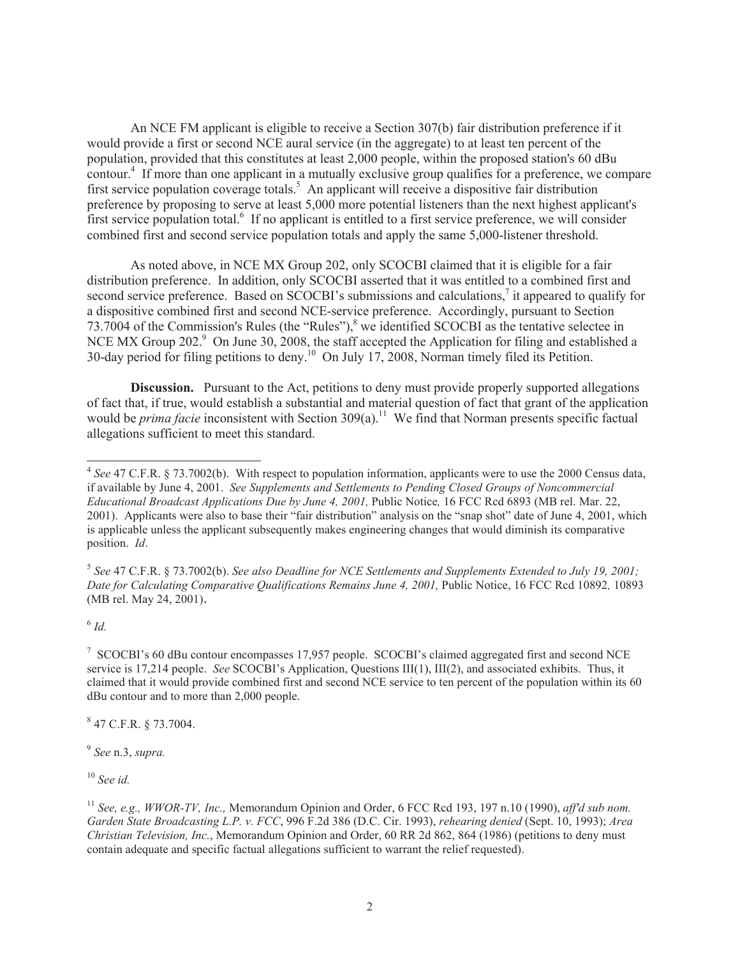An NCE FM applicant is eligible to receive a Section 307(b) fair distribution preference if it would provide a first or second NCE aural service (in the aggregate) to at least ten percent of the population, provided that this constitutes at least 2,000 people, within the proposed station's 60 dBu contour.<sup>4</sup> If more than one applicant in a mutually exclusive group qualifies for a preference, we compare first service population coverage totals.<sup>5</sup> An applicant will receive a dispositive fair distribution preference by proposing to serve at least 5,000 more potential listeners than the next highest applicant's first service population total.<sup>6</sup> If no applicant is entitled to a first service preference, we will consider combined first and second service population totals and apply the same 5,000-listener threshold.

As noted above, in NCE MX Group 202, only SCOCBI claimed that it is eligible for a fair distribution preference. In addition, only SCOCBI asserted that it was entitled to a combined first and second service preference. Based on SCOCBI's submissions and calculations,<sup>7</sup> it appeared to qualify for a dispositive combined first and second NCE-service preference. Accordingly, pursuant to Section 73.7004 of the Commission's Rules (the "Rules"), $\frac{8}{3}$  we identified SCOCBI as the tentative selectee in NCE MX Group 202.<sup>9</sup> On June 30, 2008, the staff accepted the Application for filing and established a 30-day period for filing petitions to deny.<sup>10</sup> On July 17, 2008, Norman timely filed its Petition.

**Discussion.** Pursuant to the Act, petitions to deny must provide properly supported allegations of fact that, if true, would establish a substantial and material question of fact that grant of the application would be *prima facie* inconsistent with Section 309(a).<sup>11</sup> We find that Norman presents specific factual allegations sufficient to meet this standard.

5 *See* 47 C.F.R. § 73.7002(b). *See also Deadline for NCE Settlements and Supplements Extended to July 19, 2001; Date for Calculating Comparative Qualifications Remains June 4, 2001,* Public Notice, 16 FCC Rcd 10892*,* 10893 (MB rel. May 24, 2001).

6 *Id.*

<sup>7</sup> SCOCBI's 60 dBu contour encompasses 17,957 people. SCOCBI's claimed aggregated first and second NCE service is 17,214 people. *See* SCOCBI's Application, Questions III(1), III(2), and associated exhibits. Thus, it claimed that it would provide combined first and second NCE service to ten percent of the population within its 60 dBu contour and to more than 2,000 people.

8 47 C.F.R. § 73.7004.

9 *See* n.3, *supra.*

<sup>10</sup> *See id.*

<sup>4</sup> *See* 47 C.F.R. § 73.7002(b). With respect to population information, applicants were to use the 2000 Census data, if available by June 4, 2001. *See Supplements and Settlements to Pending Closed Groups of Noncommercial Educational Broadcast Applications Due by June 4, 2001,* Public Notice*,* 16 FCC Rcd 6893 (MB rel. Mar. 22, 2001). Applicants were also to base their "fair distribution" analysis on the "snap shot" date of June 4, 2001, which is applicable unless the applicant subsequently makes engineering changes that would diminish its comparative position. *Id*.

<sup>11</sup> *See, e.g., WWOR-TV, Inc.,* Memorandum Opinion and Order, 6 FCC Rcd 193, 197 n.10 (1990), *aff'd sub nom. Garden State Broadcasting L.P. v. FCC*, 996 F.2d 386 (D.C. Cir. 1993), *rehearing denied* (Sept. 10, 1993); *Area Christian Television, Inc.*, Memorandum Opinion and Order, 60 RR 2d 862, 864 (1986) (petitions to deny must contain adequate and specific factual allegations sufficient to warrant the relief requested).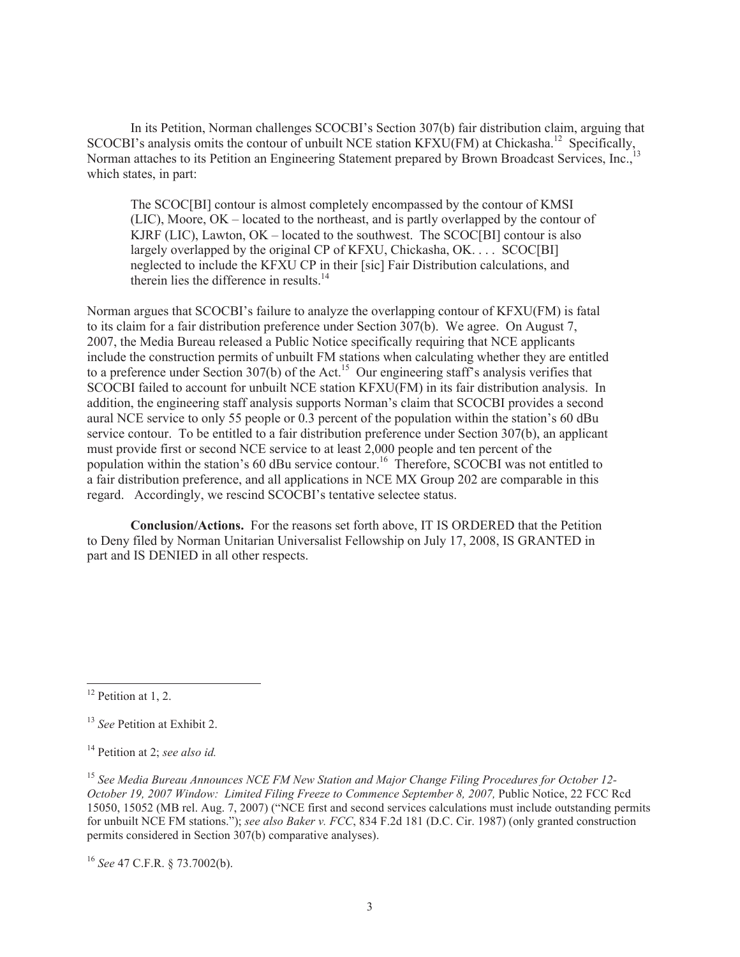In its Petition, Norman challenges SCOCBI's Section 307(b) fair distribution claim, arguing that In its return, ivoring changes becomes become border of the analysis omits the contour of unbuilt NCE station KFXU(FM) at Chickasha.<sup>12</sup> Specifically, Norman attaches to its Petition an Engineering Statement prepared by Brown Broadcast Services, Inc., which states, in part:

The SCOC[BI] contour is almost completely encompassed by the contour of KMSI (LIC), Moore, OK – located to the northeast, and is partly overlapped by the contour of KJRF (LIC), Lawton, OK – located to the southwest. The SCOC[BI] contour is also largely overlapped by the original CP of KFXU, Chickasha, OK. . . . SCOC[BI] neglected to include the KFXU CP in their [sic] Fair Distribution calculations, and therein lies the difference in results.<sup>14</sup>

Norman argues that SCOCBI's failure to analyze the overlapping contour of KFXU(FM) is fatal to its claim for a fair distribution preference under Section 307(b). We agree. On August 7, 2007, the Media Bureau released a Public Notice specifically requiring that NCE applicants include the construction permits of unbuilt FM stations when calculating whether they are entitled to a preference under Section 307(b) of the Act.<sup>15</sup> Our engineering staff's analysis verifies that SCOCBI failed to account for unbuilt NCE station KFXU(FM) in its fair distribution analysis. In addition, the engineering staff analysis supports Norman's claim that SCOCBI provides a second aural NCE service to only 55 people or 0.3 percent of the population within the station's 60 dBu service contour. To be entitled to a fair distribution preference under Section 307(b), an applicant must provide first or second NCE service to at least 2,000 people and ten percent of the population within the station's 60 dBu service contour.<sup>16</sup> Therefore, SCOCBI was not entitled to a fair distribution preference, and all applications in NCE MX Group 202 are comparable in this regard. Accordingly, we rescind SCOCBI's tentative selectee status.

**Conclusion/Actions.** For the reasons set forth above, IT IS ORDERED that the Petition to Deny filed by Norman Unitarian Universalist Fellowship on July 17, 2008, IS GRANTED in part and IS DENIED in all other respects.

 $12$  Petition at 1, 2.

<sup>13</sup> *See* Petition at Exhibit 2.

<sup>14</sup> Petition at 2; *see also id.*

<sup>15</sup> *See Media Bureau Announces NCE FM New Station and Major Change Filing Procedures for October 12- October 19, 2007 Window: Limited Filing Freeze to Commence September 8, 2007, Public Notice, 22 FCC Rcd* 15050, 15052 (MB rel. Aug. 7, 2007) ("NCE first and second services calculations must include outstanding permits for unbuilt NCE FM stations."); *see also Baker v. FCC*, 834 F.2d 181 (D.C. Cir. 1987) (only granted construction permits considered in Section 307(b) comparative analyses).

<sup>16</sup> *See* 47 C.F.R. § 73.7002(b).